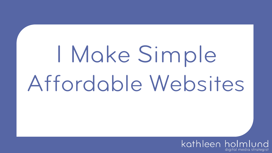# I Make Simple Affordable Websites

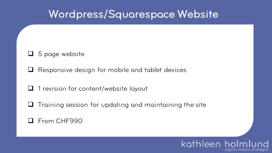## Wordpress/Squarespace Website

#### $\Box$  5 page website

 $\Box$  Responsive design for mobile and tablet devices

 $\Box$  1 revision for content/website layout

 $\Box$  Training session for updating and maintaining the site

#### **Q** From CHF990

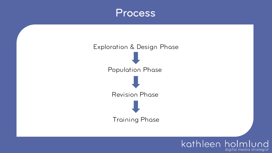



kathleen holmlund

digital media strategist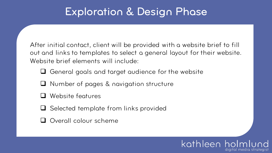# Exploration & Design Phase

After initial contact, client will be provided with a website brief to fill out and links to templates to select a general layout for their website. Website brief elements will include:

- $\Box$  General goals and target audience for the website
- $\Box$  Number of pages & navigation structure
- Website features
- $\Box$  Selected template from links provided
- Overall colour scheme

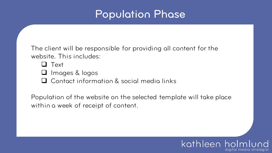# Population Phase

The client will be responsible for providing all content for the website. This includes:

**Q** Text

 $\Box$  Images & logos

 $\Box$  Contact information & social media links

Population of the website on the selected template will take place within a week of receipt of content.

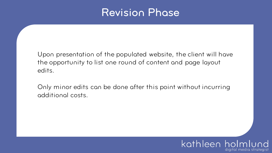### Revision Phase

Upon presentation of the populated website, the client will have the opportunity to list one round of content and page layout edits.

Only minor edits can be done after this point without incurring additional costs.

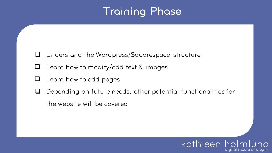# Training Phase

- $\Box$  Understand the Wordpress/Squarespace structure
- $\Box$  Learn how to modify/add text & images
- $\Box$  Learn how to add pages
- Depending on future needs, other potential functionalities for
	- the website will be covered

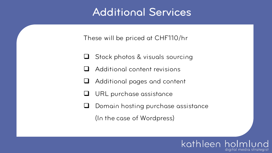### Additional Services

These will be priced at CHF110/hr

- $\Box$  Stock photos & visuals sourcing
- $\Box$  Additional content revisions
- $\Box$  Additional pages and content
- $\Box$  URL purchase assistance
- $\Box$  Domain hosting purchase assistance

(In the case of Wordpress)